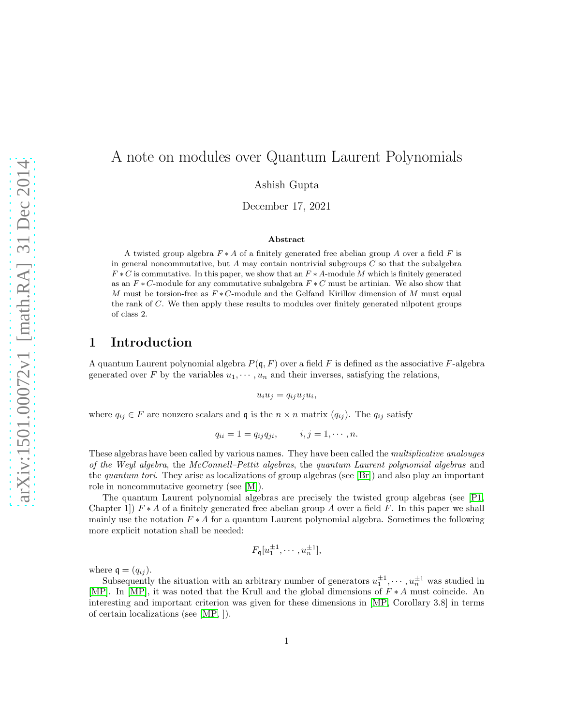# arXiv:1501.00072v1 [math.RA] 31 Dec 2014 [arXiv:1501.00072v1 \[math.RA\] 31 Dec 2014](http://arxiv.org/abs/1501.00072v1)

# A note on modules over Quantum Laurent Polynomials

Ashish Gupta

December 17, 2021

### Abstract

A twisted group algebra  $F * A$  of a finitely generated free abelian group A over a field F is in general noncommutative, but A may contain nontrivial subgroups  $C$  so that the subalgebra  $F * C$  is commutative. In this paper, we show that an  $F * A$ -module M which is finitely generated as an  $F * C$ -module for any commutative subalgebra  $F * C$  must be artinian. We also show that M must be torsion-free as  $F * C$ -module and the Gelfand–Kirillov dimension of M must equal the rank of C. We then apply these results to modules over finitely generated nilpotent groups of class 2.

### 1 Introduction

A quantum Laurent polynomial algebra  $P(\mathfrak{q}, F)$  over a field F is defined as the associative F-algebra generated over F by the variables  $u_1, \dots, u_n$  and their inverses, satisfying the relations,

 $u_i u_j = q_{ij} u_j u_i,$ 

where  $q_{ij} \in F$  are nonzero scalars and q is the  $n \times n$  matrix  $(q_{ij})$ . The  $q_{ij}$  satisfy

$$
q_{ii} = 1 = q_{ij}q_{ji}, \qquad i, j = 1, \cdots, n.
$$

These algebras have been called by various names. They have been called the *multiplicative analouges of the Weyl algebra*, the *McConnell–Pettit algebras*, the *quantum Laurent polynomial algebras* and the *quantum tori*. They arise as localizations of group algebras (see [\[Br\]](#page-6-0)) and also play an important role in noncommutative geometry (see [\[M\]](#page-6-1)).

The quantum Laurent polynomial algebras are precisely the twisted group algebras (see [\[P1,](#page-6-2) Chapter 1])  $F * A$  of a finitely generated free abelian group A over a field F. In this paper we shall mainly use the notation  $F * A$  for a quantum Laurent polynomial algebra. Sometimes the following more explicit notation shall be needed:

$$
F_{\mathfrak{q}}[u_1^{\pm 1},\cdots,u_n^{\pm 1}],
$$

where  $\mathfrak{q} = (q_{ij}).$ 

Subsequently the situation with an arbitrary number of generators  $u_1^{\pm 1}, \dots, u_n^{\pm 1}$  was studied in [\[MP\]](#page-6-3). In [\[MP\]](#page-6-3), it was noted that the Krull and the global dimensions of F ∗ A must coincide. An interesting and important criterion was given for these dimensions in [\[MP,](#page-6-3) Corollary 3.8] in terms of certain localizations (see [\[MP,](#page-6-3) ]).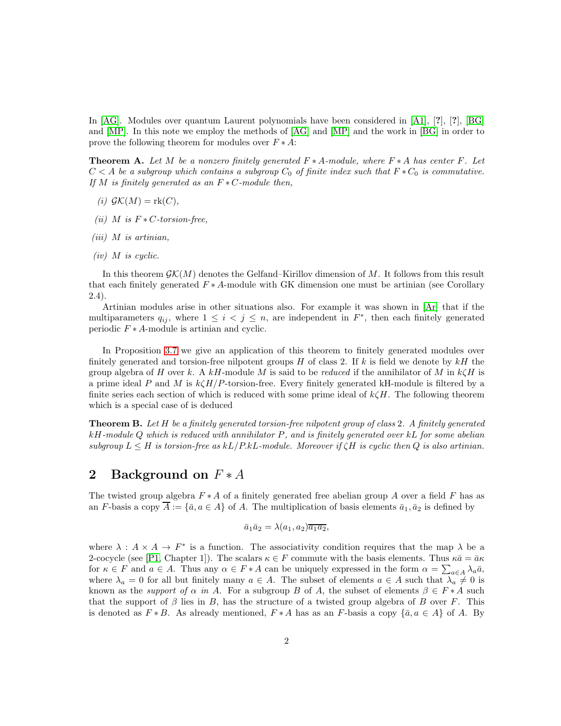In [\[AG\]](#page-6-4). Modules over quantum Laurent polynomials have been considered in [\[A1\]](#page-6-5), [?], [?], [\[BG\]](#page-6-6) and [\[MP\]](#page-6-3). In this note we employ the methods of [\[AG\]](#page-6-4) and [\[MP\]](#page-6-3) and the work in [\[BG\]](#page-6-6) in order to prove the following theorem for modules over  $F \ast A$ :

Theorem A. *Let* M *be a nonzero finitely generated* F ∗ A*-module, where* F ∗ A *has center* F*. Let*  $C < A$  *be a subgroup which contains a subgroup*  $C_0$  *of finite index such that*  $F * C_0$  *is commutative. If M is finitely generated as an*  $F ∗ C$ *-module then,* 

- $(i)$   $\mathcal{GK}(M) = \text{rk}(C)$ ,
- *(ii) M is*  $F * C$ -torsion-free,
- *(iii)* M *is artinian,*
- *(iv)* M *is cyclic.*

In this theorem  $\mathcal{GK}(M)$  denotes the Gelfand–Kirillov dimension of M. It follows from this result that each finitely generated  $F * A$ -module with GK dimension one must be artinian (see Corollary 2.4).

Artinian modules arise in other situations also. For example it was shown in [\[Ar\]](#page-6-7) that if the multiparameters  $q_{ij}$ , where  $1 \leq i < j \leq n$ , are independent in  $F^*$ , then each finitely generated periodic  $F * A$ -module is artinian and cyclic.

In Proposition [3.7](#page-5-0) we give an application of this theorem to finitely generated modules over finitely generated and torsion-free nilpotent groups  $H$  of class 2. If k is field we denote by  $kH$  the group algebra of H over k. A kH-module M is said to be *reduced* if the annihilator of M in  $k\zeta H$  is a prime ideal P and M is  $k\zeta H/P$ -torsion-free. Every finitely generated kH-module is filtered by a finite series each section of which is reduced with some prime ideal of  $k\zeta H$ . The following theorem which is a special case of is deduced

Theorem B. *Let* H *be a finitely generated torsion-free nilpotent group of class* 2*. A finitely generated* kH*-module* Q *which is reduced with annihilator* P*, and is finitely generated over* kL *for some abelian subgroup*  $L \leq H$  *is torsion-free as*  $kL/P.kL$ *-module. Moreover if*  $\zeta H$  *is cyclic then*  $Q$  *is also artinian.* 

## 2 Background on  $F * A$

The twisted group algebra  $F * A$  of a finitely generated free abelian group A over a field F has as an F-basis a copy  $\overline{A} := {\overline{a}, a \in A}$  of A. The multiplication of basis elements  $\overline{a_1}, \overline{a_2}$  is defined by

$$
\bar{a}_1 \bar{a}_2 = \lambda(a_1, a_2) \overline{a_1 a_2},
$$

where  $\lambda : A \times A \to F^*$  is a function. The associativity condition requires that the map  $\lambda$  be a 2-cocycle (see [\[P1,](#page-6-2) Chapter 1]). The scalars  $\kappa \in F$  commute with the basis elements. Thus  $\kappa \bar{a} = \bar{a} \kappa$ for  $\kappa \in F$  and  $a \in A$ . Thus any  $\alpha \in F * A$  can be uniquely expressed in the form  $\alpha = \sum_{a \in A} \lambda_a \bar{a}$ , where  $\lambda_a = 0$  for all but finitely many  $a \in A$ . The subset of elements  $a \in A$  such that  $\lambda_a \neq 0$  is known as the *support of*  $\alpha$  *in* A. For a subgroup B of A, the subset of elements  $\beta \in F \ast A$  such that the support of  $\beta$  lies in B, has the structure of a twisted group algebra of B over F. This is denoted as  $F * B$ . As already mentioned,  $F * A$  has as an F-basis a copy  $\{\bar{a}, a \in A\}$  of A. By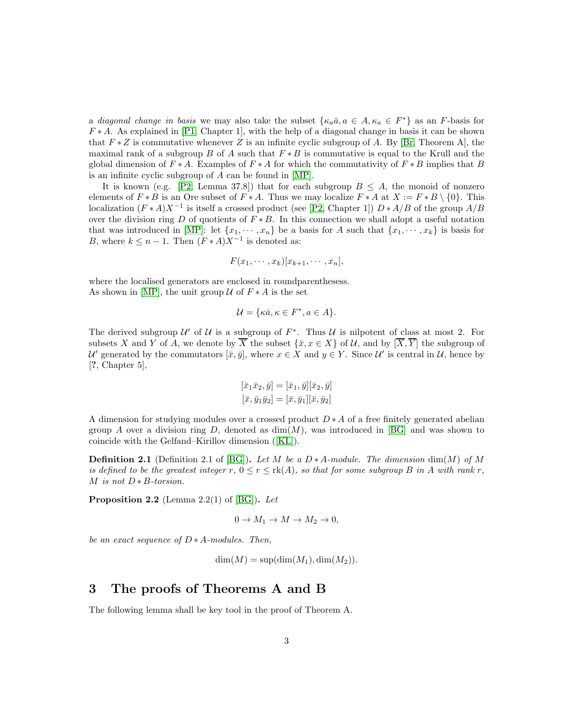a *diagonal change in basis* we may also take the subset  $\{\kappa_a \bar{a}, a \in A, \kappa_a \in F^*\}$  as an F-basis for  $F * A$ . As explained in [\[P1,](#page-6-2) Chapter 1], with the help of a diagonal change in basis it can be shown that  $F * Z$  is commutative whenever Z is an infinite cyclic subgroup of A. By [\[Br,](#page-6-0) Theorem A], the maximal rank of a subgroup B of A such that  $F * B$  is commutative is equal to the Krull and the global dimension of  $F * A$ . Examples of  $F * A$  for which the commutativity of  $F * B$  implies that B is an infinite cyclic subgroup of A can be found in [\[MP\]](#page-6-3).

It is known (e.g. [\[P2,](#page-6-8) Lemma 37.8]) that for each subgroup  $B \leq A$ , the monoid of nonzero elements of  $F * B$  is an Ore subset of  $F * A$ . Thus we may localize  $F * A$  at  $X := F * B \setminus \{0\}$ . This localization  $(F * A)X^{-1}$  is itself a crossed product (see [\[P2,](#page-6-8) Chapter 1])  $D * A/B$  of the group  $A/B$ over the division ring D of quotients of  $F * B$ . In this connection we shall adopt a useful notation that was introduced in [\[MP\]](#page-6-3): let  $\{x_1, \dots, x_n\}$  be a basis for A such that  $\{x_1, \dots, x_k\}$  is basis for B, where  $k \leq n-1$ . Then  $(F * A)X^{-1}$  is denoted as:

$$
F(x_1,\cdots,x_k)[x_{k+1},\cdots,x_n],
$$

where the localised generators are enclosed in roundparenthesess. As shown in [\[MP\]](#page-6-3), the unit group  $\mathcal U$  of  $F \ast A$  is the set

$$
\mathcal{U} = \{ \kappa \bar{a}, \kappa \in F^*, a \in A \}.
$$

The derived subgroup  $\mathcal{U}'$  of  $\mathcal{U}$  is a subgroup of  $F^*$ . Thus  $\mathcal{U}$  is nilpotent of class at most 2. For subsets X and Y of A, we denote by  $\overline{X}$  the subset  $\{\bar{x}, x \in X\}$  of U, and by  $\overline{X}, \overline{Y}$  the subgroup of U' generated by the commutators  $[\bar{x}, \bar{y}]$ , where  $x \in X$  and  $y \in Y$ . Since U' is central in U, hence by [?, Chapter 5],

$$
[\bar{x}_1 \bar{x}_2, \bar{y}] = [\bar{x}_1, \bar{y}][\bar{x}_2, \bar{y}]
$$

$$
[\bar{x}, \bar{y}_1 \bar{y}_2] = [\bar{x}, \bar{y}_1][\bar{x}, \bar{y}_2]
$$

A dimension for studying modules over a crossed product  $D * A$  of a free finitely generated abelian group A over a division ring D, denoted as  $\dim(M)$ , was introduced in [\[BG\]](#page-6-6) and was shown to coincide with the Gelfand–Kirillov dimension ([\[KL\]](#page-6-9)).

<span id="page-2-0"></span>**Definition 2.1** (Definition 2.1 of [\[BG\]](#page-6-6)). Let M be a  $D * A$ -module. The dimension dim(M) of M *is defined to be the greatest integer*  $r, 0 \le r \le \text{rk}(A)$ *, so that for some subgroup*  $B$  *in*  $A$  *with rank*  $r$ *,* M *is not* D ∗ B*-torsion.*

<span id="page-2-1"></span>Proposition 2.2 (Lemma 2.2(1) of [\[BG\]](#page-6-6)). *Let*

$$
0 \to M_1 \to M \to M_2 \to 0,
$$

*be an exact sequence of* D ∗ A*-modules. Then,*

 $dim(M) = sup(dim(M_1), dim(M_2)).$ 

### 3 The proofs of Theorems A and B

The following lemma shall be key tool in the proof of Theorem A.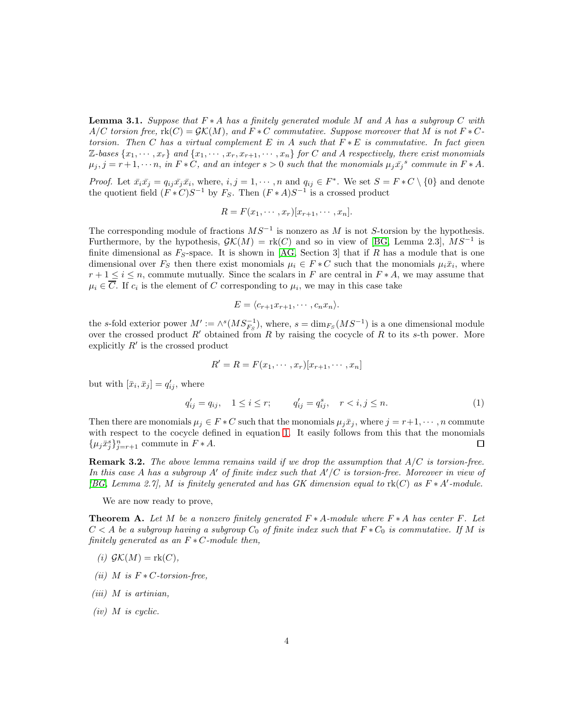<span id="page-3-1"></span>Lemma 3.1. *Suppose that* F ∗ A *has a finitely generated module* M *and* A *has a subgroup* C *with*  $A/C$  *torsion free,*  $\text{rk}(C) = \mathcal{GK}(M)$ *, and*  $F*C$  *commutative. Suppose moreover that* M *is not*  $F*C$ *torsion. Then* C *has a virtual complement* E *in* A *such that* F ∗ E *is commutative. In fact given*  $\mathbb{Z}\text{-}bases \{x_1, \cdots, x_r\}$  and  $\{x_1, \cdots, x_r, x_{r+1}, \cdots, x_n\}$  for C and A respectively, there exist monomials  $\mu_j, j = r+1, \dots, n$ , in  $F*C$ , and an integer  $s > 0$  such that the monomials  $\mu_j \bar{x_j}^s$  commute in  $F*A$ .

*Proof.* Let  $\bar{x}_i \bar{x}_j = q_{ij} \bar{x}_j \bar{x}_i$ , where,  $i, j = 1, \dots, n$  and  $q_{ij} \in F^*$ . We set  $S = F * C \setminus \{0\}$  and denote the quotient field  $(F * C)S^{-1}$  by  $F_S$ . Then  $(F * A)S^{-1}$  is a crossed product

$$
R = F(x_1, \cdots, x_r)[x_{r+1}, \cdots, x_n].
$$

The corresponding module of fractions  $MS^{-1}$  is nonzero as M is not S-torsion by the hypothesis. Furthermore, by the hypothesis,  $\mathcal{G}\mathcal{K}(M) = \text{rk}(C)$  and so in view of [\[BG,](#page-6-6) Lemma 2.3],  $MS^{-1}$  is finite dimensional as  $F_S$ -space. It is shown in [\[AG,](#page-6-4) Section 3] that if R has a module that is one dimensional over  $F_S$  then there exist monomials  $\mu_i \in F \ast C$  such that the monomials  $\mu_i \bar{x}_i$ , where  $r+1 \leq i \leq n$ , commute mutually. Since the scalars in F are central in  $F*A$ , we may assume that  $\mu_i \in C$ . If  $c_i$  is the element of C corresponding to  $\mu_i$ , we may in this case take

$$
E = \langle c_{r+1} x_{r+1}, \cdots, c_n x_n \rangle.
$$

the s-fold exterior power  $M' := \wedge^s(MS^{-1}_{F_S})$ , where,  $s = \dim_{F_S}(MS^{-1})$  is a one dimensional module over the crossed product  $R'$  obtained from R by raising the cocycle of R to its s-th power. More explicitly  $R'$  is the crossed product

$$
R' = R = F(x_1, \cdots, x_r)[x_{r+1}, \cdots, x_n]
$$

but with  $[\bar{x}_i, \bar{x}_j] = q'_{ij}$ , where

<span id="page-3-0"></span>
$$
q'_{ij} = q_{ij}, \quad 1 \le i \le r; \qquad q'_{ij} = q^s_{ij}, \quad r < i, j \le n. \tag{1}
$$

Then there are monomials  $\mu_j \in F * C$  such that the monomials  $\mu_j \bar{x}_j$ , where  $j = r+1, \dots, n$  commute with respect to the cocycle defined in equation [1.](#page-3-0) It easily follows from this that the monomials  $\{\mu_j \bar{x}_j^s\}_{j=r+1}^n$  commute in  $F * A$ .  $\Box$ 

<span id="page-3-2"></span>Remark 3.2. *The above lemma remains vaild if we drop the assumption that* A/C *is torsion-free. In this case* A *has a subgroup* A′ *of finite index such that* A′/C *is torsion-free. Moreover in view of [\[BG,](#page-6-6) Lemma 2.7],* M *is finitely generated and has GK dimension equal to* rk(C) *as* F ∗ A′ *-module.*

We are now ready to prove,

Theorem A. *Let* M *be a nonzero finitely generated* F ∗ A*-module where* F ∗ A *has center* F*. Let*  $C < A$  *be a subgroup having a subgroup*  $C_0$  *of finite index such that*  $F * C_0$  *is commutative. If* M *is finitely generated as an* F ∗ C*-module then,*

- $(i)$   $\mathcal{GK}(M) = \text{rk}(C)$ ,
- *(ii) M is*  $F * C$ -torsion-free,
- *(iii)* M *is artinian,*
- *(iv)* M *is cyclic.*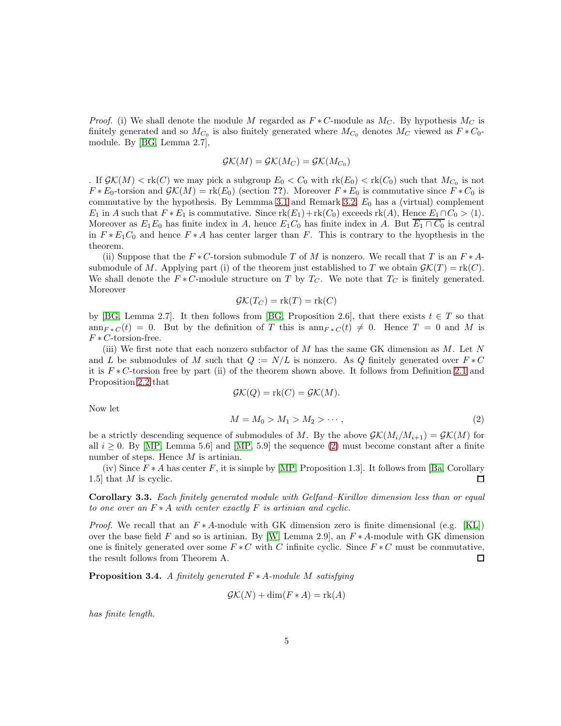*Proof.* (i) We shall denote the module M regarded as  $F * C$ -module as  $M_C$ . By hypothesis  $M_C$  is finitely generated and so  $M_{C_0}$  is also finitely generated where  $M_{C_0}$  denotes  $M_C$  viewed as  $F * C_0$ module. By [\[BG,](#page-6-6) Lemma 2.7],

$$
\mathcal{G}\mathcal{K}(M) = \mathcal{G}\mathcal{K}(M_C) = \mathcal{G}\mathcal{K}(M_{C_0})
$$

. If  $\mathcal{GK}(M) < \text{rk}(C)$  we may pick a subgroup  $E_0 < C_0$  with  $\text{rk}(E_0) < \text{rk}(C_0)$  such that  $M_{C_0}$  is not  $F * E_0$ -torsion and  $\mathcal{GK}(M) = \text{rk}(E_0)$  (section ??). Moreover  $F * E_0$  is commutative since  $F * C_0$  is commutative by the hypothesis. By Lemmma [3.1](#page-3-1) and Remark [3.2,](#page-3-2)  $E_0$  has a (virtual) complement  $E_1$  in A such that  $F * E_1$  is commutative. Since  $\text{rk}(E_1) + \text{rk}(C_0)$  exceeds  $\text{rk}(A)$ , Hence  $E_1 \cap C_0 > \langle 1 \rangle$ . Moreover as  $E_1E_0$  has finite index in A, hence  $E_1C_0$  has finite index in A. But  $\overline{E_1 \cap C_0}$  is central in  $F * E_1C_0$  and hence  $F * A$  has center larger than F. This is contrary to the hyopthesis in the theorem.

(ii) Suppose that the  $F * C$ -torsion submodule T of M is nonzero. We recall that T is an  $F * A$ submodule of M. Applying part (i) of the theorem just established to T we obtain  $\mathcal{GK}(T) = \text{rk}(C)$ . We shall denote the  $F * C$ -module structure on T by  $T_C$ . We note that  $T_C$  is finitely generated. Moreover

$$
\mathcal{GK}(T_C) = \text{rk}(T) = \text{rk}(C)
$$

by [\[BG,](#page-6-6) Lemma 2.7]. It then follows from [BG, Proposition 2.6], that there exists  $t \in T$  so that ann<sub>F</sub> \*  $C(t) = 0$ . But by the definition of T this is ann<sub>F</sub> \*  $C(t) \neq 0$ . Hence T = 0 and M is  $F * C$ -torsion-free.

(iii) We first note that each nonzero subfactor of  $M$  has the same GK dimension as  $M$ . Let  $N$ and L be submodules of M such that  $Q := N/L$  is nonzero. As Q finitely generated over  $F * C$ it is  $F * C$ -torsion free by part (ii) of the theorem shown above. It follows from Definition [2.1](#page-2-0) and Proposition [2.2](#page-2-1) that

<span id="page-4-0"></span>
$$
\mathcal{GK}(Q) = \text{rk}(C) = \mathcal{GK}(M).
$$
  

$$
M = M_0 > M_1 > M_2 > \cdots,
$$
 (2)

Now let

be a strictly descending sequence of submodules of M. By the above  $\mathcal{GK}(M_i/M_{i+1}) = \mathcal{GK}(M)$  for all  $i \geq 0$ . By [\[MP,](#page-6-3) Lemma 5.6] and [MP, 5.9] the sequence [\(2\)](#page-4-0) must become constant after a finite number of steps. Hence M is artinian.

(iv) Since  $F * A$  has center F, it is simple by [\[MP,](#page-6-3) Proposition 1.3]. It follows from [\[Ba,](#page-6-10) Corollary 1.5] that M is cyclic.  $\Box$ 

Corollary 3.3. *Each finitely generated module with Gelfand–Kirillov dimension less than or equal to one over an* F ∗ A *with center exactly* F *is artinian and cyclic.*

*Proof.* We recall that an  $F * A$ -module with GK dimension zero is finite dimensional (e.g. [\[KL\]](#page-6-9)) over the base field F and so is artinian. By [\[W,](#page-6-11) Lemma 2.9], an  $F * A$ -module with GK dimension one is finitely generated over some  $F * C$  with C infinite cyclic. Since  $F * C$  must be commutative, the result follows from Theorem A.  $\Box$ 

Proposition 3.4. *A finitely generated* F ∗ A*-module* M *satisfying*

$$
\mathcal{G}\mathcal{K}(N) + \dim(F \ast A) = \text{rk}(A)
$$

*has finite length.*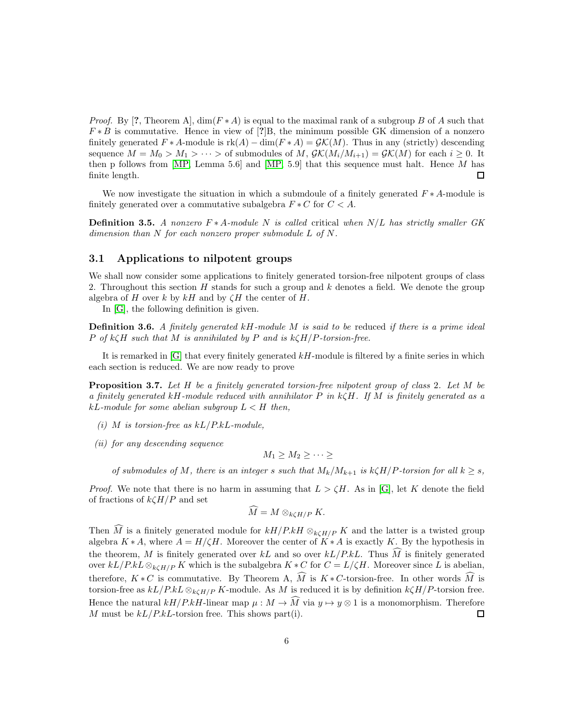*Proof.* By [?, Theorem A],  $\dim(F \ast A)$  is equal to the maximal rank of a subgroup B of A such that  $F * B$  is commutative. Hence in view of [?]B, the minimum possible GK dimension of a nonzero finitely generated  $F * A$ -module is  $rk(A) - dim(F * A) = \mathcal{GK}(M)$ . Thus in any (strictly) descending sequence  $M = M_0 > M_1 > \cdots >$  of submodules of M,  $\mathcal{GK}(M_i/M_{i+1}) = \mathcal{GK}(M)$  for each  $i \geq 0$ . It then p follows from [\[MP,](#page-6-3) Lemma 5.6] and [MP, 5.9] that this sequence must halt. Hence  $M$  has finite length.  $\Box$ 

We now investigate the situation in which a submodule of a finitely generated  $F * A$ -module is finitely generated over a commutative subalgebra  $F * C$  for  $C < A$ .

Definition 3.5. *A nonzero* F ∗ A*-module* N *is called* critical *when* N/L *has strictly smaller GK dimension than* N *for each nonzero proper submodule* L *of* N*.*

### 3.1 Applications to nilpotent groups

We shall now consider some applications to finitely generated torsion-free nilpotent groups of class 2. Throughout this section  $H$  stands for such a group and  $k$  denotes a field. We denote the group algebra of H over k by  $kH$  and by  $\zeta H$  the center of H.

In [\[G\]](#page-6-12), the following definition is given.

Definition 3.6. *A finitely generated* kH*-module* M *is said to be* reduced *if there is a prime ideal* P *of* kζH *such that* M *is annihilated by* P *and is* kζH/P*-torsion-free.*

It is remarked in  $[G]$  that every finitely generated  $kH$ -module is filtered by a finite series in which each section is reduced. We are now ready to prove

<span id="page-5-0"></span>Proposition 3.7. *Let* H *be a finitely generated torsion-free nilpotent group of class* 2*. Let* M *be a finitely generated* kH*-module reduced with annihilator* P *in* kζH*. If* M *is finitely generated as a*  $k$ *L*-module for some abelian subgroup  $L < H$  then,

- *(i)* M *is torsion-free as* kL/P.kL*-module,*
- *(ii) for any descending sequence*

$$
M_1 \geq M_2 \geq \cdots \geq
$$

*of submodules of* M, there is an integer s such that  $M_k/M_{k+1}$  is  $k\zeta H/P$ *-torsion for all*  $k \geq s$ ,

*Proof.* We note that there is no harm in assuming that  $L > \zeta H$ . As in [\[G\]](#page-6-12), let K denote the field of fractions of  $k\zeta H/P$  and set

$$
\widehat{M}=M\otimes_{k\zeta H/P}K.
$$

Then  $\widehat{M}$  is a finitely generated module for  $kH/P.kH \otimes_{k\zeta H/P} K$  and the latter is a twisted group algebra  $K * A$ , where  $A = H/(H)$ . Moreover the center of  $K * A$  is exactly K. By the hypothesis in the theorem, M is finitely generated over kL and so over  $kL/P_kL$ . Thus  $\tilde{M}$  is finitely generated over  $kL/P$ .kL  $\otimes_{k\zeta H/P} K$  which is the subalgebra  $K * C$  for  $C = L/\zeta H$ . Moreover since L is abelian, therefore,  $K * C$  is commutative. By Theorem A, M is  $K * C$ -torsion-free. In other words M is torsion-free as  $kL/P.kL \otimes_{kCH/P} K$ -module. As M is reduced it is by definition  $k\zeta H/P$ -torsion free. Hence the natural  $kH/PkH$ -linear map  $\mu : M \to \hat{M}$  via  $y \mapsto y \otimes 1$  is a monomorphism. Therefore M must be  $kL/P.kL$ -torsion free. This shows part(i).  $\Box$